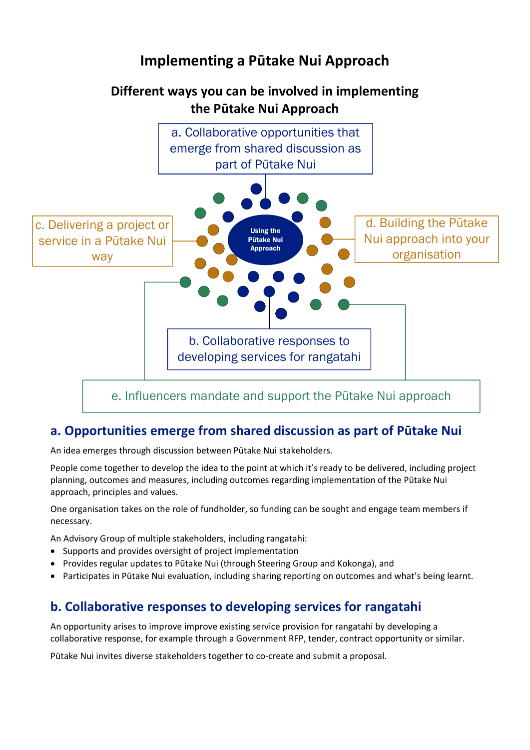

## **a. Opportunities emerge from shared discussion as part of Pūtake Nui**

An idea emerges through discussion between Pūtake Nui stakeholders.

People come together to develop the idea to the point at which it's ready to be delivered, including project planning, outcomes and measures, including outcomes regarding implementation of the Pūtake Nui approach, principles and values.

One organisation takes on the role of fundholder, so funding can be sought and engage team members if necessary.

An Advisory Group of multiple stakeholders, including rangatahi:

- Supports and provides oversight of project implementation
- Provides regular updates to Pūtake Nui (through Steering Group and Kokonga), and
- Participates in Pūtake Nui evaluation, including sharing reporting on outcomes and what's being learnt.

## **b. Collaborative responses to developing services for rangatahi**

An opportunity arises to improve improve existing service provision for rangatahi by developing a collaborative response, for example through a Government RFP, tender, contract opportunity or similar.

Pūtake Nui invites diverse stakeholders together to co-create and submit a proposal.